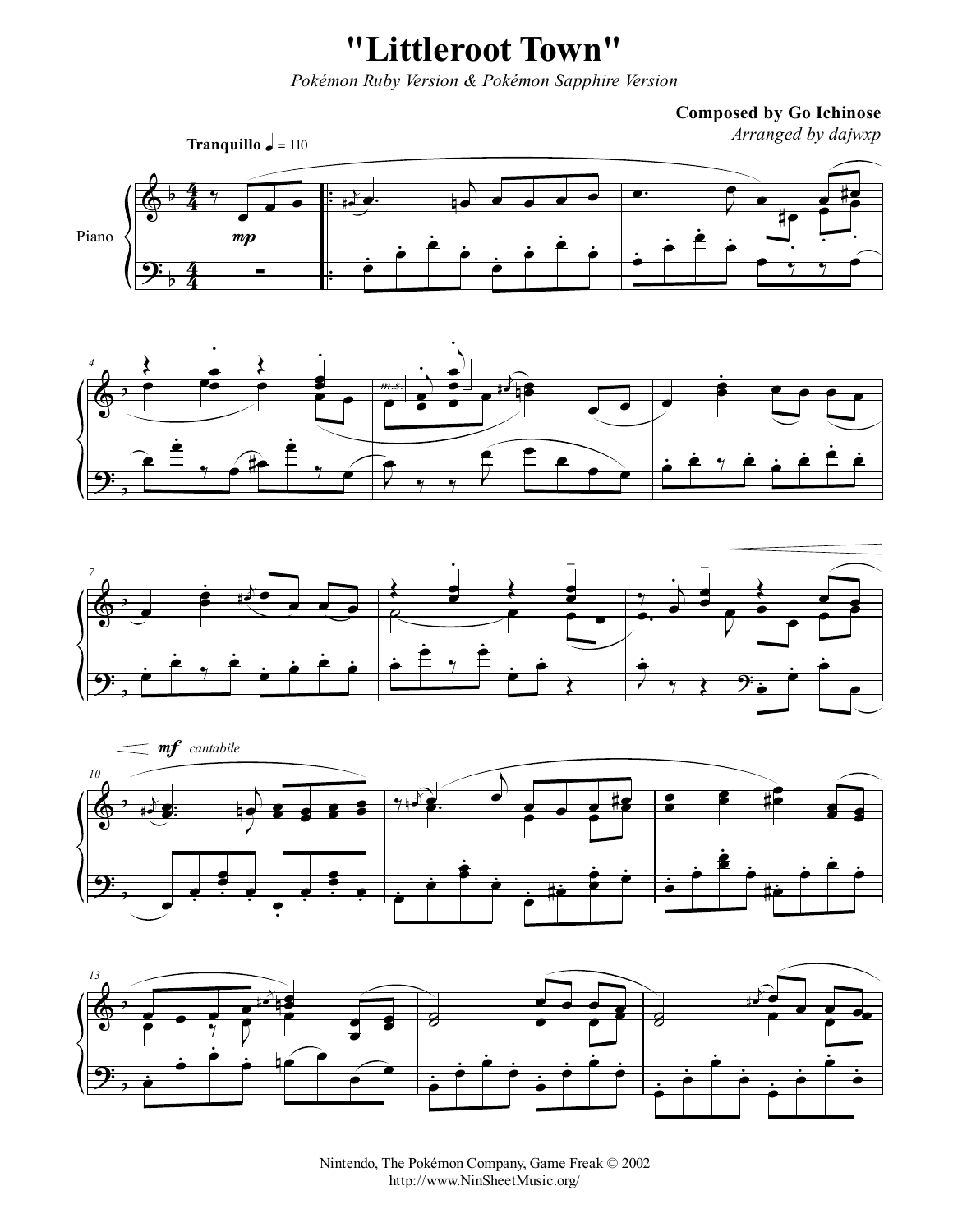**"Littleroot Town"**

*Pokémon Ruby Version & Pokémon Sapphire Version*

**Composed by Go Ichinose**













Nintendo, The Pokémon Company, Game Freak © 2002 http://www.NinSheetMusic.org/